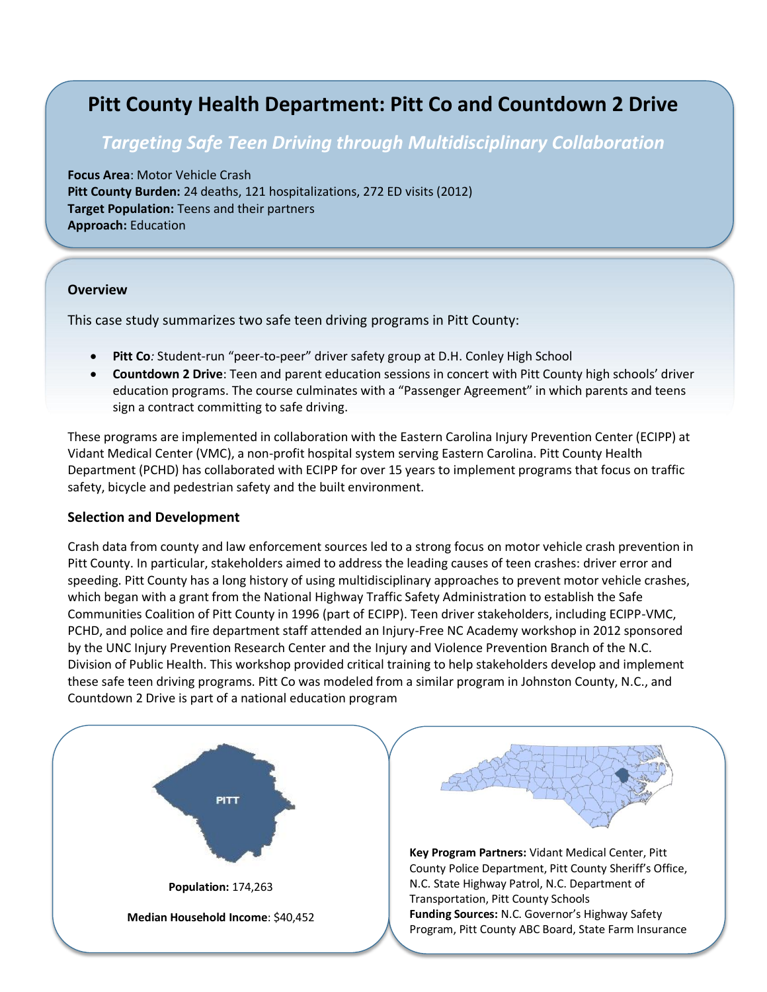# **Pitt County Health Department: Pitt Co and Countdown 2 Drive**

# *Targeting Safe Teen Driving through Multidisciplinary Collaboration*

**Focus Area**: Motor Vehicle Crash **Pitt County Burden:** 24 deaths, 121 hospitalizations, 272 ED visits (2012) **Target Population:** Teens and their partners **Approach:** Education

#### **Overview**

This case study summarizes two safe teen driving programs in Pitt County:

- **Pitt Co***:* Student-run "peer-to-peer" driver safety group at D.H. Conley High School
- **Countdown 2 Drive**: Teen and parent education sessions in concert with Pitt County high schools' driver education programs. The course culminates with a "Passenger Agreement" in which parents and teens sign a contract committing to safe driving.

These programs are implemented in collaboration with the Eastern Carolina Injury Prevention Center (ECIPP) at Vidant Medical Center (VMC), a non-profit hospital system serving Eastern Carolina. Pitt County Health Department (PCHD) has collaborated with ECIPP for over 15 years to implement programs that focus on traffic safety, bicycle and pedestrian safety and the built environment.

#### **Selection and Development**

Crash data from county and law enforcement sources led to a strong focus on motor vehicle crash prevention in Pitt County. In particular, stakeholders aimed to address the leading causes of teen crashes: driver error and speeding. Pitt County has a long history of using multidisciplinary approaches to prevent motor vehicle crashes, which began with a grant from the National Highway Traffic Safety Administration to establish the Safe Communities Coalition of Pitt County in 1996 (part of ECIPP). Teen driver stakeholders, including ECIPP-VMC, PCHD, and police and fire department staff attended an Injury-Free NC Academy workshop in 2012 sponsored by the UNC Injury Prevention Research Center and the Injury and Violence Prevention Branch of the N.C. Division of Public Health. This workshop provided critical training to help stakeholders develop and implement these safe teen driving programs. Pitt Co was modeled from a similar program in Johnston County, N.C., and Countdown 2 Drive is part of a national education program